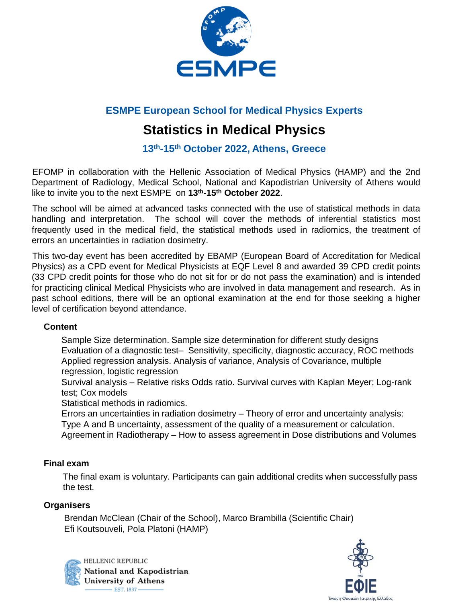

### **ESMPE European School for Medical Physics Experts**

# **Statistics in Medical Physics**

**13th-15th October 2022, Athens, Greece**

EFOMP in collaboration with the Hellenic Association of Medical Physics (HAMP) and the 2nd Department of Radiology, Medical School, National and Kapodistrian University of Athens would like to invite you to the next ESMPE on **13th-15 th October 2022**.

The school will be aimed at advanced tasks connected with the use of statistical methods in data handling and interpretation. The school will cover the methods of inferential statistics most frequently used in the medical field, the statistical methods used in radiomics, the treatment of errors an uncertainties in radiation dosimetry.

This two-day event has been accredited by EBAMP (European Board of Accreditation for Medical Physics) as a CPD event for Medical Physicists at EQF Level 8 and awarded 39 CPD credit points (33 CPD credit points for those who do not sit for or do not pass the examination) and is intended for practicing clinical Medical Physicists who are involved in data management and research. As in past school editions, there will be an optional examination at the end for those seeking a higher level of certification beyond attendance.

#### **Content**

Sample Size determination. Sample size determination for different study designs Evaluation of a diagnostic test– Sensitivity, specificity, diagnostic accuracy, ROC methods Applied regression analysis. Analysis of variance, Analysis of Covariance, multiple regression, logistic regression

Survival analysis – Relative risks Odds ratio. Survival curves with Kaplan Meyer; Log-rank test; Cox models

Statistical methods in radiomics.

Errors an uncertainties in radiation dosimetry – Theory of error and uncertainty analysis: Type A and B uncertainty, assessment of the quality of a measurement or calculation. Agreement in Radiotherapy – How to assess agreement in Dose distributions and Volumes

#### **Final exam**

The final exam is voluntary. Participants can gain additional credits when successfully pass the test.

#### **Organisers**

Brendan McClean (Chair of the School), Marco Brambilla (Scientific Chair) Efi Koutsouveli, Pola Platoni (HAMP)



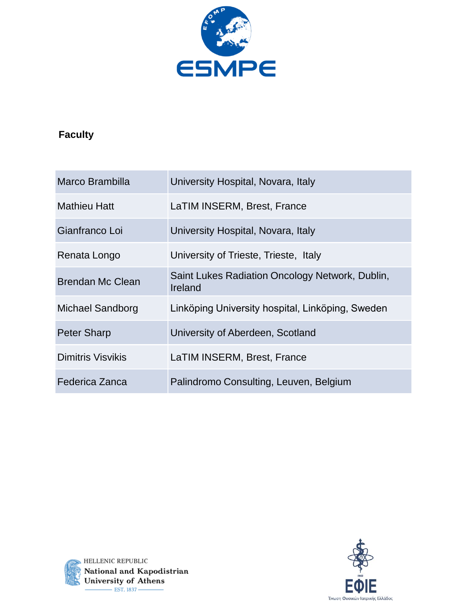

## **Faculty**

| Marco Brambilla          | University Hospital, Novara, Italy                         |
|--------------------------|------------------------------------------------------------|
| <b>Mathieu Hatt</b>      | LaTIM INSERM, Brest, France                                |
| Gianfranco Loi           | University Hospital, Novara, Italy                         |
| Renata Longo             | University of Trieste, Trieste, Italy                      |
| <b>Brendan Mc Clean</b>  | Saint Lukes Radiation Oncology Network, Dublin,<br>Ireland |
| Michael Sandborg         | Linköping University hospital, Linköping, Sweden           |
| <b>Peter Sharp</b>       | University of Aberdeen, Scotland                           |
| <b>Dimitris Visvikis</b> | LaTIM INSERM, Brest, France                                |
| Federica Zanca           | Palindromo Consulting, Leuven, Belgium                     |



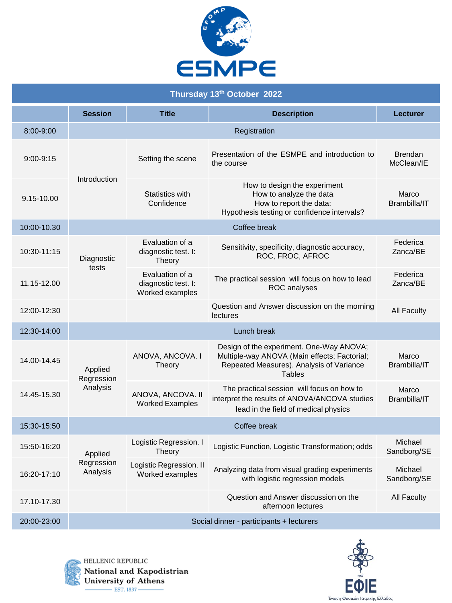

| Thursday 13th October 2022 |                                   |                                                           |                                                                                                                                                |                              |
|----------------------------|-----------------------------------|-----------------------------------------------------------|------------------------------------------------------------------------------------------------------------------------------------------------|------------------------------|
|                            | <b>Session</b>                    | <b>Title</b>                                              | <b>Description</b>                                                                                                                             | Lecturer                     |
| 8:00-9:00                  |                                   |                                                           | Registration                                                                                                                                   |                              |
| $9:00-9:15$                |                                   | Setting the scene                                         | Presentation of the ESMPE and introduction to<br>the course                                                                                    | <b>Brendan</b><br>McClean/IE |
| 9.15-10.00                 | Introduction                      | Statistics with<br>Confidence                             | How to design the experiment<br>How to analyze the data<br>How to report the data:<br>Hypothesis testing or confidence intervals?              | Marco<br>Brambilla/IT        |
| 10:00-10.30                |                                   | Coffee break                                              |                                                                                                                                                |                              |
| 10:30-11:15                | Diagnostic                        | Evaluation of a<br>diagnostic test. I:<br>Theory          | Sensitivity, specificity, diagnostic accuracy,<br>ROC, FROC, AFROC                                                                             | Federica<br>Zanca/BE         |
| 11.15-12.00                | tests                             | Evaluation of a<br>diagnostic test. I:<br>Worked examples | The practical session will focus on how to lead<br><b>ROC</b> analyses                                                                         | Federica<br>Zanca/BE         |
| 12:00-12:30                |                                   |                                                           | Question and Answer discussion on the morning<br>lectures                                                                                      | <b>All Faculty</b>           |
| 12:30-14:00                |                                   |                                                           | Lunch break                                                                                                                                    |                              |
| 14.00-14.45                | Applied<br>Regression<br>Analysis | ANOVA, ANCOVA. I<br>Theory                                | Design of the experiment. One-Way ANOVA;<br>Multiple-way ANOVA (Main effects; Factorial;<br>Repeated Measures). Analysis of Variance<br>Tables | Marco<br>Brambilla/IT        |
| 14.45-15.30                |                                   | ANOVA, ANCOVA. II<br><b>Worked Examples</b>               | The practical session will focus on how to<br>interpret the results of ANOVA/ANCOVA studies<br>lead in the field of medical physics            | Marco<br>Brambilla/IT        |
| 15:30-15:50                | Coffee break                      |                                                           |                                                                                                                                                |                              |
| 15:50-16:20                | Applied<br>Regression<br>Analysis | Logistic Regression. I<br>Theory                          | Logistic Function, Logistic Transformation; odds                                                                                               | Michael<br>Sandborg/SE       |
| 16:20-17:10                |                                   | Logistic Regression. II<br>Worked examples                | Analyzing data from visual grading experiments<br>with logistic regression models                                                              | Michael<br>Sandborg/SE       |
| 17.10-17.30                |                                   |                                                           | Question and Answer discussion on the<br>afternoon lectures                                                                                    | <b>All Faculty</b>           |
| 20:00-23:00                |                                   |                                                           | Social dinner - participants + lecturers                                                                                                       |                              |



HELLENIC REPUBLIC National and Kapodistrian University of Athens  $-$  EST. 1837 $-$ 

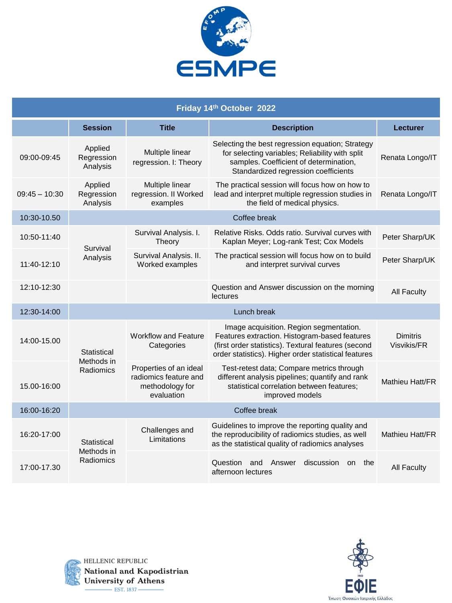

| Friday 14th October 2022 |                                        |                                                                                  |                                                                                                                                                                                                         |                         |
|--------------------------|----------------------------------------|----------------------------------------------------------------------------------|---------------------------------------------------------------------------------------------------------------------------------------------------------------------------------------------------------|-------------------------|
|                          | <b>Session</b>                         | <b>Title</b>                                                                     | <b>Description</b>                                                                                                                                                                                      | Lecturer                |
| 09:00-09:45              | Applied<br>Regression<br>Analysis      | Multiple linear<br>regression. I: Theory                                         | Selecting the best regression equation; Strategy<br>for selecting variables; Reliability with split<br>samples. Coefficient of determination,<br>Standardized regression coefficients                   | Renata Longo/IT         |
| $09:45 - 10:30$          | Applied<br>Regression<br>Analysis      | Multiple linear<br>regression. II Worked<br>examples                             | The practical session will focus how on how to<br>lead and interpret multiple regression studies in<br>the field of medical physics.                                                                    | Renata Longo/IT         |
| 10:30-10.50              | Coffee break                           |                                                                                  |                                                                                                                                                                                                         |                         |
| 10:50-11:40              | Survival<br>Analysis                   | Survival Analysis. I.<br>Theory                                                  | Relative Risks, Odds ratio, Survival curves with<br>Kaplan Meyer; Log-rank Test; Cox Models                                                                                                             | Peter Sharp/UK          |
| 11:40-12:10              |                                        | Survival Analysis. II.<br>Worked examples                                        | The practical session will focus how on to build<br>and interpret survival curves                                                                                                                       | Peter Sharp/UK          |
| 12:10-12:30              |                                        |                                                                                  | Question and Answer discussion on the morning<br>lectures                                                                                                                                               | <b>All Faculty</b>      |
| 12:30-14:00              |                                        |                                                                                  | Lunch break                                                                                                                                                                                             |                         |
| 14:00-15.00              | Statistical<br>Methods in<br>Radiomics | <b>Workflow and Feature</b><br>Categories                                        | Image acquisition. Region segmentation.<br>Features extraction. Histogram-based features<br>(first order statistics). Textural features (second<br>order statistics). Higher order statistical features | Dimitris<br>Visvikis/FR |
| 15.00-16:00              |                                        | Properties of an ideal<br>radiomics feature and<br>methodology for<br>evaluation | Test-retest data; Compare metrics through<br>different analysis pipelines; quantify and rank<br>statistical correlation between features;<br>improved models                                            | Mathieu Hatt/FR         |
| 16:00-16:20              | Coffee break                           |                                                                                  |                                                                                                                                                                                                         |                         |
| 16:20-17:00              | Statistical<br>Methods in<br>Radiomics | Challenges and<br>Limitations                                                    | Guidelines to improve the reporting quality and<br>the reproducibility of radiomics studies, as well<br>as the statistical quality of radiomics analyses                                                | Mathieu Hatt/FR         |
| 17:00-17.30              |                                        |                                                                                  | Question and Answer<br>discussion<br>on the<br>afternoon lectures                                                                                                                                       | <b>All Faculty</b>      |



HELLENIC REPUBLIC National and Kapodistrian University of Athens  $-$  EST. 1837 $-$ 

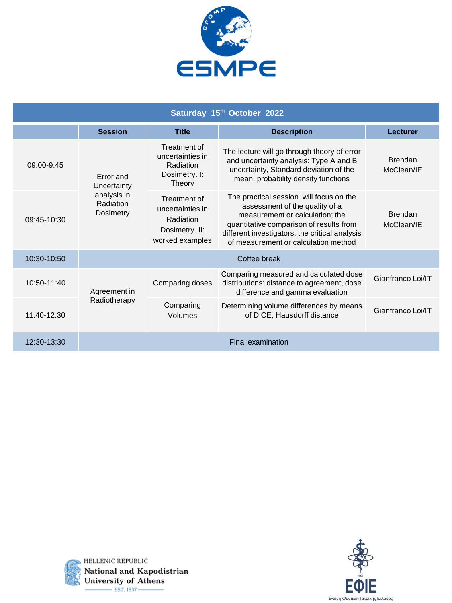

| Saturday 15th October 2022  |                                                                          |                                                                                    |                                                                                                                                                                                                                                                   |                              |
|-----------------------------|--------------------------------------------------------------------------|------------------------------------------------------------------------------------|---------------------------------------------------------------------------------------------------------------------------------------------------------------------------------------------------------------------------------------------------|------------------------------|
|                             | <b>Session</b>                                                           | <b>Title</b>                                                                       | <b>Description</b>                                                                                                                                                                                                                                | <b>Lecturer</b>              |
| 09:00-9.45                  | <b>Error</b> and<br>Uncertainty<br>analysis in<br>Radiation<br>Dosimetry | Treatment of<br>uncertainties in<br>Radiation<br>Dosimetry. I:<br>Theory           | The lecture will go through theory of error<br>and uncertainty analysis: Type A and B<br>uncertainty, Standard deviation of the<br>mean, probability density functions                                                                            | <b>Brendan</b><br>McClean/IE |
| 09:45-10:30                 |                                                                          | Treatment of<br>uncertainties in<br>Radiation<br>Dosimetry. II:<br>worked examples | The practical session will focus on the<br>assessment of the quality of a<br>measurement or calculation; the<br>quantitative comparison of results from<br>different investigators; the critical analysis<br>of measurement or calculation method | <b>Brendan</b><br>McClean/IE |
| 10:30-10:50                 | Coffee break                                                             |                                                                                    |                                                                                                                                                                                                                                                   |                              |
| 10:50-11:40                 | Agreement in                                                             | Comparing doses                                                                    | Comparing measured and calculated dose<br>distributions: distance to agreement, dose<br>difference and gamma evaluation                                                                                                                           | Gianfranco Loi/IT            |
| Radiotherapy<br>11.40-12.30 | Comparing<br>Volumes                                                     | Determining volume differences by means<br>of DICE, Hausdorff distance             | Gianfranco Loi/IT                                                                                                                                                                                                                                 |                              |
| 12:30-13:30                 | <b>Final examination</b>                                                 |                                                                                    |                                                                                                                                                                                                                                                   |                              |